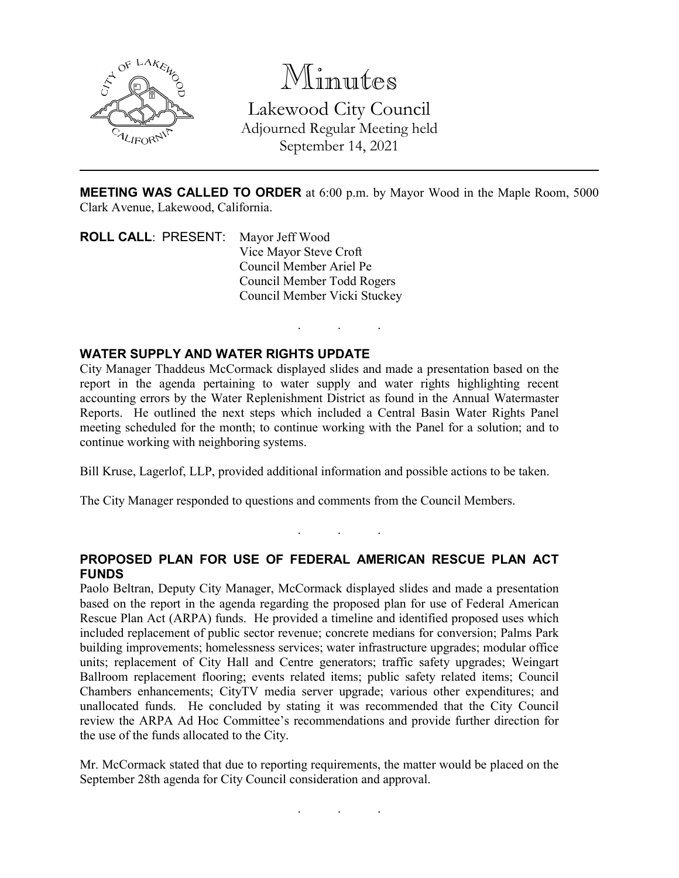

Minutes Lakewood City Council Adjourned Regular Meeting held September 14, 2021

**MEETING WAS CALLED TO ORDER** at 6:00 p.m. by Mayor Wood in the Maple Room, 5000 Clark Avenue, Lakewood, California.

. . .

**ROLL CALL**: PRESENT: Mayor Jeff Wood Vice Mayor Steve Croft Council Member Ariel Pe Council Member Todd Rogers Council Member Vicki Stuckey

## **WATER SUPPLY AND WATER RIGHTS UPDATE**

City Manager Thaddeus McCormack displayed slides and made a presentation based on the report in the agenda pertaining to water supply and water rights highlighting recent accounting errors by the Water Replenishment District as found in the Annual Watermaster Reports. He outlined the next steps which included a Central Basin Water Rights Panel meeting scheduled for the month; to continue working with the Panel for a solution; and to continue working with neighboring systems.

Bill Kruse, Lagerlof, LLP, provided additional information and possible actions to be taken.

The City Manager responded to questions and comments from the Council Members.

## **PROPOSED PLAN FOR USE OF FEDERAL AMERICAN RESCUE PLAN ACT FUNDS**

. . .

Paolo Beltran, Deputy City Manager, McCormack displayed slides and made a presentation based on the report in the agenda regarding the proposed plan for use of Federal American Rescue Plan Act (ARPA) funds. He provided a timeline and identified proposed uses which included replacement of public sector revenue; concrete medians for conversion; Palms Park building improvements; homelessness services; water infrastructure upgrades; modular office units; replacement of City Hall and Centre generators; traffic safety upgrades; Weingart Ballroom replacement flooring; events related items; public safety related items; Council Chambers enhancements; CityTV media server upgrade; various other expenditures; and unallocated funds. He concluded by stating it was recommended that the City Council review the ARPA Ad Hoc Committee's recommendations and provide further direction for the use of the funds allocated to the City.

Mr. McCormack stated that due to reporting requirements, the matter would be placed on the September 28th agenda for City Council consideration and approval.

. . .